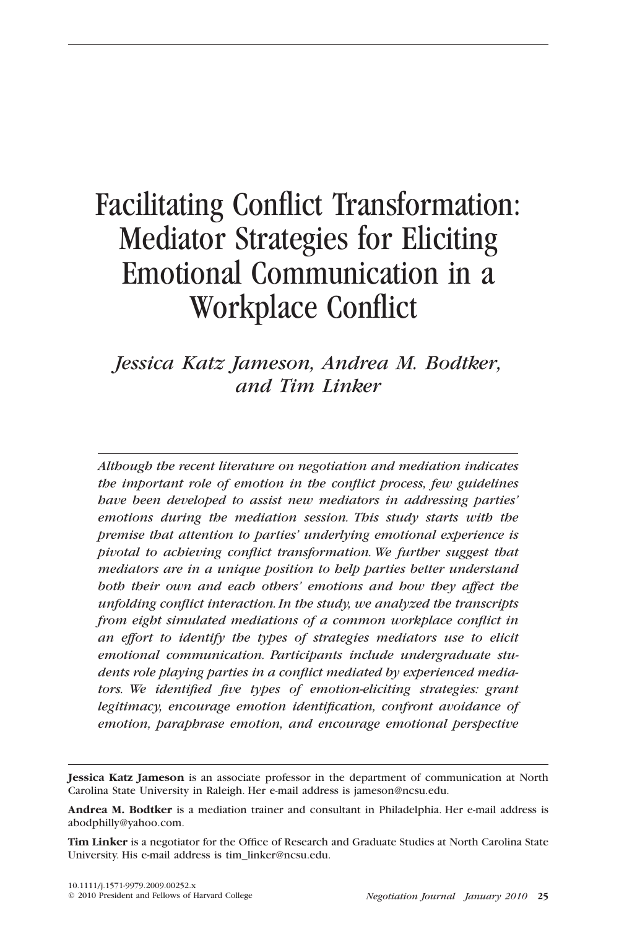# Facilitating Conflict Transformation: Mediator Strategies for Eliciting Emotional Communication in a Workplace Conflict

# *Jessica Katz Jameson, Andrea M. Bodtker, and Tim Linker*

*Although the recent literature on negotiation and mediation indicates the important role of emotion in the conflict process, few guidelines have been developed to assist new mediators in addressing parties' emotions during the mediation session. This study starts with the premise that attention to parties' underlying emotional experience is pivotal to achieving conflict transformation. We further suggest that mediators are in a unique position to help parties better understand both their own and each others' emotions and how they affect the unfolding conflict interaction. In the study, we analyzed the transcripts from eight simulated mediations of a common workplace conflict in an effort to identify the types of strategies mediators use to elicit emotional communication. Participants include undergraduate students role playing parties in a conflict mediated by experienced mediators. We identified five types of emotion-eliciting strategies: grant legitimacy, encourage emotion identification, confront avoidance of emotion, paraphrase emotion, and encourage emotional perspective*

**Jessica Katz Jameson** is an associate professor in the department of communication at North Carolina State University in Raleigh. Her e-mail address is jameson@ncsu.edu.

**Andrea M. Bodtker** is a mediation trainer and consultant in Philadelphia. Her e-mail address is abodphilly@yahoo.com.

**Tim Linker** is a negotiator for the Office of Research and Graduate Studies at North Carolina State University. His e-mail address is tim\_linker@ncsu.edu.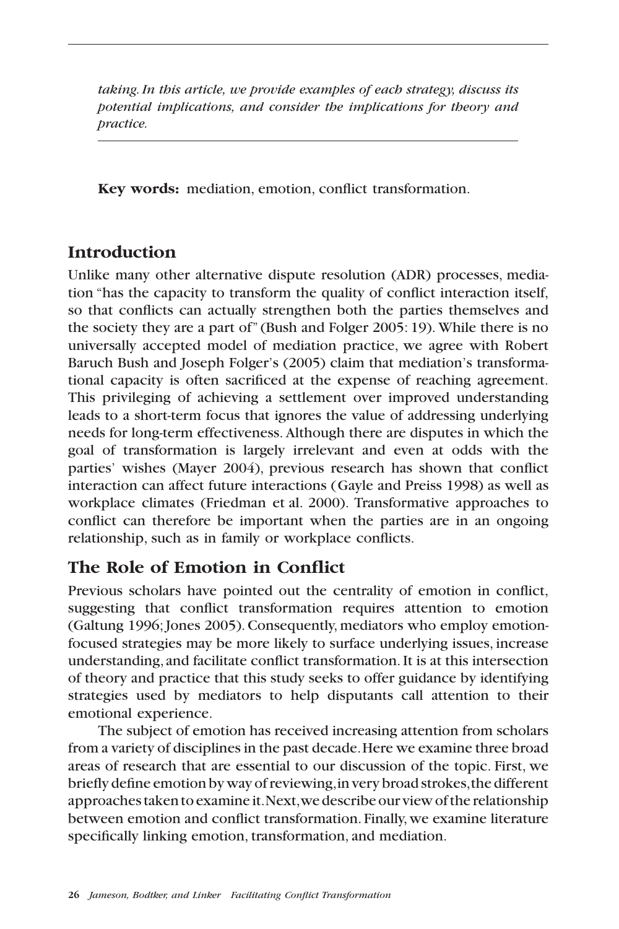*taking. In this article, we provide examples of each strategy, discuss its potential implications, and consider the implications for theory and practice.*

**Key words:** mediation, emotion, conflict transformation.

## **Introduction**

Unlike many other alternative dispute resolution (ADR) processes, mediation "has the capacity to transform the quality of conflict interaction itself, so that conflicts can actually strengthen both the parties themselves and the society they are a part of" (Bush and Folger 2005: 19). While there is no universally accepted model of mediation practice, we agree with Robert Baruch Bush and Joseph Folger's (2005) claim that mediation's transformational capacity is often sacrificed at the expense of reaching agreement. This privileging of achieving a settlement over improved understanding leads to a short-term focus that ignores the value of addressing underlying needs for long-term effectiveness. Although there are disputes in which the goal of transformation is largely irrelevant and even at odds with the parties' wishes (Mayer 2004), previous research has shown that conflict interaction can affect future interactions (Gayle and Preiss 1998) as well as workplace climates (Friedman et al. 2000). Transformative approaches to conflict can therefore be important when the parties are in an ongoing relationship, such as in family or workplace conflicts.

# **The Role of Emotion in Conflict**

Previous scholars have pointed out the centrality of emotion in conflict, suggesting that conflict transformation requires attention to emotion (Galtung 1996; Jones 2005). Consequently, mediators who employ emotionfocused strategies may be more likely to surface underlying issues, increase understanding, and facilitate conflict transformation. It is at this intersection of theory and practice that this study seeks to offer guidance by identifying strategies used by mediators to help disputants call attention to their emotional experience.

The subject of emotion has received increasing attention from scholars from a variety of disciplines in the past decade.Here we examine three broad areas of research that are essential to our discussion of the topic. First, we briefly define emotion by way of reviewing,in very broad strokes,the different approaches taken to examine it.Next,we describe our view of the relationship between emotion and conflict transformation. Finally, we examine literature specifically linking emotion, transformation, and mediation.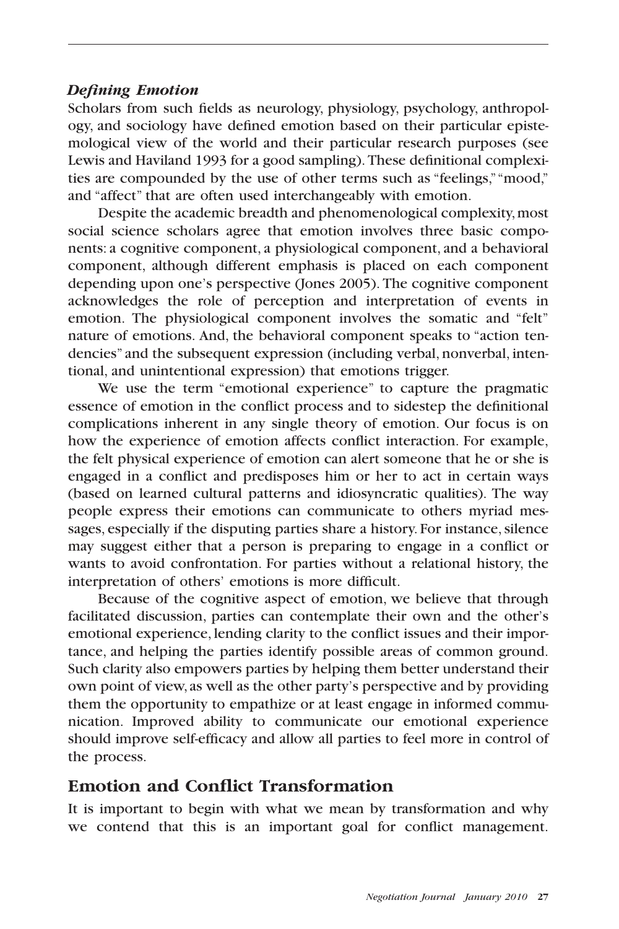#### *Defining Emotion*

Scholars from such fields as neurology, physiology, psychology, anthropology, and sociology have defined emotion based on their particular epistemological view of the world and their particular research purposes (see Lewis and Haviland 1993 for a good sampling). These definitional complexities are compounded by the use of other terms such as "feelings,""mood," and "affect" that are often used interchangeably with emotion.

Despite the academic breadth and phenomenological complexity, most social science scholars agree that emotion involves three basic components: a cognitive component, a physiological component, and a behavioral component, although different emphasis is placed on each component depending upon one's perspective (Jones 2005). The cognitive component acknowledges the role of perception and interpretation of events in emotion. The physiological component involves the somatic and "felt" nature of emotions. And, the behavioral component speaks to "action tendencies" and the subsequent expression (including verbal, nonverbal, intentional, and unintentional expression) that emotions trigger.

We use the term "emotional experience" to capture the pragmatic essence of emotion in the conflict process and to sidestep the definitional complications inherent in any single theory of emotion. Our focus is on how the experience of emotion affects conflict interaction. For example, the felt physical experience of emotion can alert someone that he or she is engaged in a conflict and predisposes him or her to act in certain ways (based on learned cultural patterns and idiosyncratic qualities). The way people express their emotions can communicate to others myriad messages, especially if the disputing parties share a history. For instance, silence may suggest either that a person is preparing to engage in a conflict or wants to avoid confrontation. For parties without a relational history, the interpretation of others' emotions is more difficult.

Because of the cognitive aspect of emotion, we believe that through facilitated discussion, parties can contemplate their own and the other's emotional experience, lending clarity to the conflict issues and their importance, and helping the parties identify possible areas of common ground. Such clarity also empowers parties by helping them better understand their own point of view, as well as the other party's perspective and by providing them the opportunity to empathize or at least engage in informed communication. Improved ability to communicate our emotional experience should improve self-efficacy and allow all parties to feel more in control of the process.

## **Emotion and Conflict Transformation**

It is important to begin with what we mean by transformation and why we contend that this is an important goal for conflict management.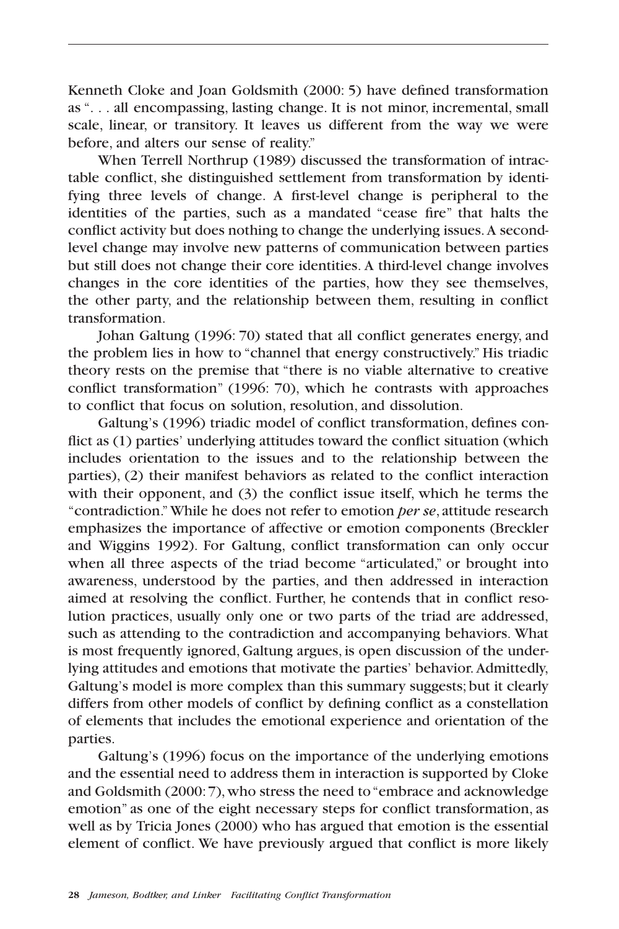Kenneth Cloke and Joan Goldsmith (2000: 5) have defined transformation as ". . . all encompassing, lasting change. It is not minor, incremental, small scale, linear, or transitory. It leaves us different from the way we were before, and alters our sense of reality."

When Terrell Northrup (1989) discussed the transformation of intractable conflict, she distinguished settlement from transformation by identifying three levels of change. A first-level change is peripheral to the identities of the parties, such as a mandated "cease fire" that halts the conflict activity but does nothing to change the underlying issues. A secondlevel change may involve new patterns of communication between parties but still does not change their core identities. A third-level change involves changes in the core identities of the parties, how they see themselves, the other party, and the relationship between them, resulting in conflict transformation.

Johan Galtung (1996: 70) stated that all conflict generates energy, and the problem lies in how to "channel that energy constructively." His triadic theory rests on the premise that "there is no viable alternative to creative conflict transformation" (1996: 70), which he contrasts with approaches to conflict that focus on solution, resolution, and dissolution.

Galtung's (1996) triadic model of conflict transformation, defines conflict as (1) parties' underlying attitudes toward the conflict situation (which includes orientation to the issues and to the relationship between the parties), (2) their manifest behaviors as related to the conflict interaction with their opponent, and (3) the conflict issue itself, which he terms the "contradiction."While he does not refer to emotion *per se*, attitude research emphasizes the importance of affective or emotion components (Breckler and Wiggins 1992). For Galtung, conflict transformation can only occur when all three aspects of the triad become "articulated," or brought into awareness, understood by the parties, and then addressed in interaction aimed at resolving the conflict. Further, he contends that in conflict resolution practices, usually only one or two parts of the triad are addressed, such as attending to the contradiction and accompanying behaviors. What is most frequently ignored, Galtung argues, is open discussion of the underlying attitudes and emotions that motivate the parties' behavior. Admittedly, Galtung's model is more complex than this summary suggests; but it clearly differs from other models of conflict by defining conflict as a constellation of elements that includes the emotional experience and orientation of the parties.

Galtung's (1996) focus on the importance of the underlying emotions and the essential need to address them in interaction is supported by Cloke and Goldsmith (2000: 7), who stress the need to "embrace and acknowledge" emotion" as one of the eight necessary steps for conflict transformation, as well as by Tricia Jones (2000) who has argued that emotion is the essential element of conflict. We have previously argued that conflict is more likely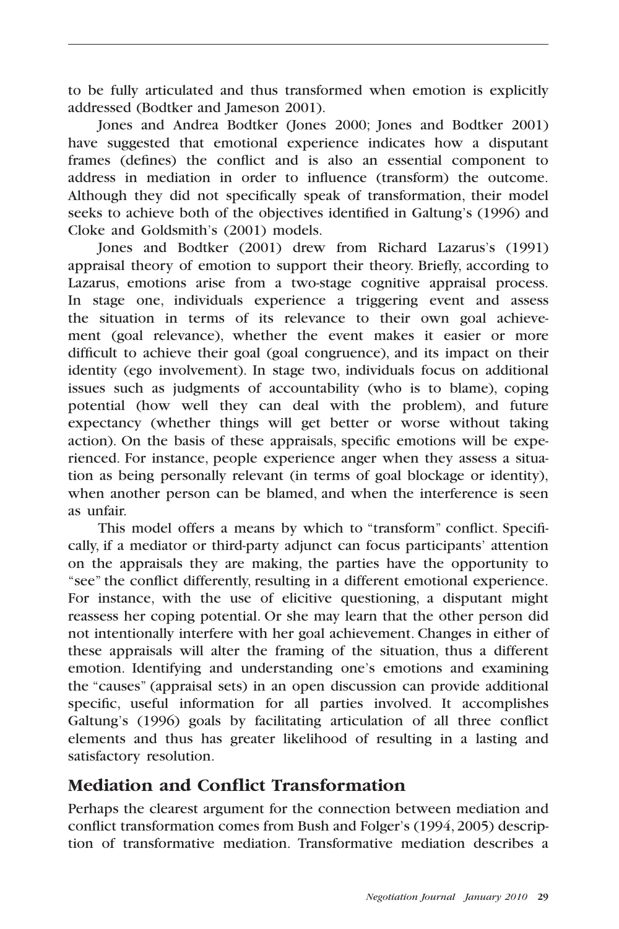to be fully articulated and thus transformed when emotion is explicitly addressed (Bodtker and Jameson 2001).

Jones and Andrea Bodtker (Jones 2000; Jones and Bodtker 2001) have suggested that emotional experience indicates how a disputant frames (defines) the conflict and is also an essential component to address in mediation in order to influence (transform) the outcome. Although they did not specifically speak of transformation, their model seeks to achieve both of the objectives identified in Galtung's (1996) and Cloke and Goldsmith's (2001) models.

Jones and Bodtker (2001) drew from Richard Lazarus's (1991) appraisal theory of emotion to support their theory. Briefly, according to Lazarus, emotions arise from a two-stage cognitive appraisal process. In stage one, individuals experience a triggering event and assess the situation in terms of its relevance to their own goal achievement (goal relevance), whether the event makes it easier or more difficult to achieve their goal (goal congruence), and its impact on their identity (ego involvement). In stage two, individuals focus on additional issues such as judgments of accountability (who is to blame), coping potential (how well they can deal with the problem), and future expectancy (whether things will get better or worse without taking action). On the basis of these appraisals, specific emotions will be experienced. For instance, people experience anger when they assess a situation as being personally relevant (in terms of goal blockage or identity), when another person can be blamed, and when the interference is seen as unfair.

This model offers a means by which to "transform" conflict. Specifically, if a mediator or third-party adjunct can focus participants' attention on the appraisals they are making, the parties have the opportunity to "see" the conflict differently, resulting in a different emotional experience. For instance, with the use of elicitive questioning, a disputant might reassess her coping potential. Or she may learn that the other person did not intentionally interfere with her goal achievement. Changes in either of these appraisals will alter the framing of the situation, thus a different emotion. Identifying and understanding one's emotions and examining the "causes" (appraisal sets) in an open discussion can provide additional specific, useful information for all parties involved. It accomplishes Galtung's (1996) goals by facilitating articulation of all three conflict elements and thus has greater likelihood of resulting in a lasting and satisfactory resolution.

## **Mediation and Conflict Transformation**

Perhaps the clearest argument for the connection between mediation and conflict transformation comes from Bush and Folger's (1994, 2005) description of transformative mediation. Transformative mediation describes a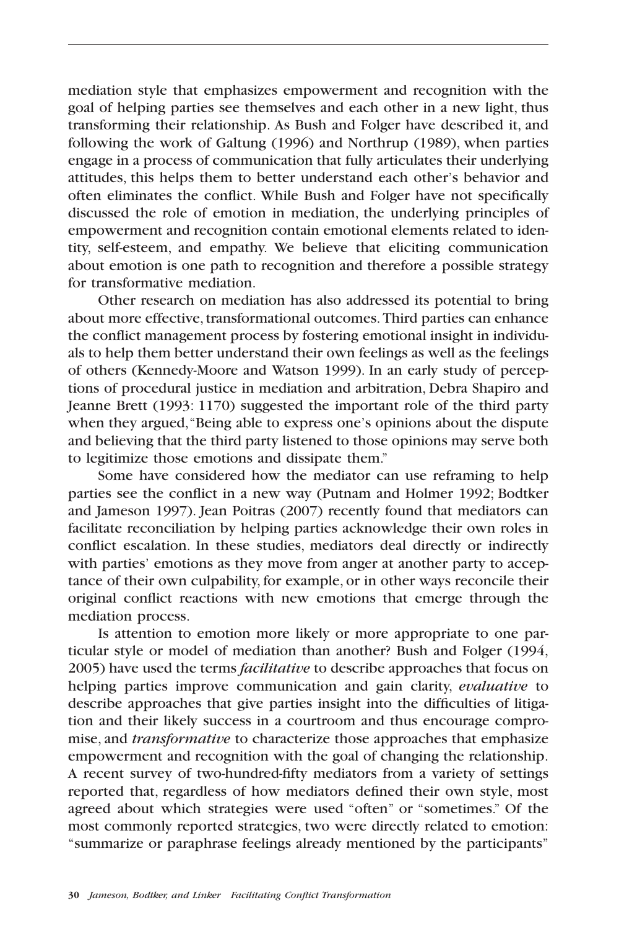mediation style that emphasizes empowerment and recognition with the goal of helping parties see themselves and each other in a new light, thus transforming their relationship. As Bush and Folger have described it, and following the work of Galtung (1996) and Northrup (1989), when parties engage in a process of communication that fully articulates their underlying attitudes, this helps them to better understand each other's behavior and often eliminates the conflict. While Bush and Folger have not specifically discussed the role of emotion in mediation, the underlying principles of empowerment and recognition contain emotional elements related to identity, self-esteem, and empathy. We believe that eliciting communication about emotion is one path to recognition and therefore a possible strategy for transformative mediation.

Other research on mediation has also addressed its potential to bring about more effective, transformational outcomes. Third parties can enhance the conflict management process by fostering emotional insight in individuals to help them better understand their own feelings as well as the feelings of others (Kennedy-Moore and Watson 1999). In an early study of perceptions of procedural justice in mediation and arbitration, Debra Shapiro and Jeanne Brett (1993: 1170) suggested the important role of the third party when they argued,"Being able to express one's opinions about the dispute and believing that the third party listened to those opinions may serve both to legitimize those emotions and dissipate them."

Some have considered how the mediator can use reframing to help parties see the conflict in a new way (Putnam and Holmer 1992; Bodtker and Jameson 1997). Jean Poitras (2007) recently found that mediators can facilitate reconciliation by helping parties acknowledge their own roles in conflict escalation. In these studies, mediators deal directly or indirectly with parties' emotions as they move from anger at another party to acceptance of their own culpability, for example, or in other ways reconcile their original conflict reactions with new emotions that emerge through the mediation process.

Is attention to emotion more likely or more appropriate to one particular style or model of mediation than another? Bush and Folger (1994, 2005) have used the terms *facilitative* to describe approaches that focus on helping parties improve communication and gain clarity, *evaluative* to describe approaches that give parties insight into the difficulties of litigation and their likely success in a courtroom and thus encourage compromise, and *transformative* to characterize those approaches that emphasize empowerment and recognition with the goal of changing the relationship. A recent survey of two-hundred-fifty mediators from a variety of settings reported that, regardless of how mediators defined their own style, most agreed about which strategies were used "often" or "sometimes." Of the most commonly reported strategies, two were directly related to emotion: "summarize or paraphrase feelings already mentioned by the participants"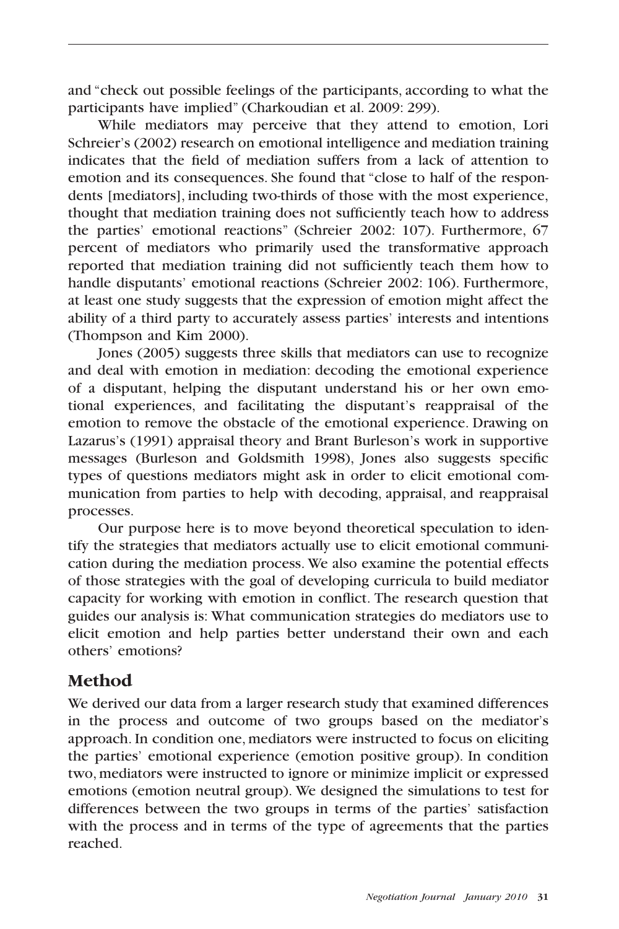and "check out possible feelings of the participants, according to what the participants have implied" (Charkoudian et al. 2009: 299).

While mediators may perceive that they attend to emotion, Lori Schreier's (2002) research on emotional intelligence and mediation training indicates that the field of mediation suffers from a lack of attention to emotion and its consequences. She found that "close to half of the respondents [mediators], including two-thirds of those with the most experience, thought that mediation training does not sufficiently teach how to address the parties' emotional reactions" (Schreier 2002: 107). Furthermore, 67 percent of mediators who primarily used the transformative approach reported that mediation training did not sufficiently teach them how to handle disputants' emotional reactions (Schreier 2002: 106). Furthermore, at least one study suggests that the expression of emotion might affect the ability of a third party to accurately assess parties' interests and intentions (Thompson and Kim 2000).

Jones (2005) suggests three skills that mediators can use to recognize and deal with emotion in mediation: decoding the emotional experience of a disputant, helping the disputant understand his or her own emotional experiences, and facilitating the disputant's reappraisal of the emotion to remove the obstacle of the emotional experience. Drawing on Lazarus's (1991) appraisal theory and Brant Burleson's work in supportive messages (Burleson and Goldsmith 1998), Jones also suggests specific types of questions mediators might ask in order to elicit emotional communication from parties to help with decoding, appraisal, and reappraisal processes.

Our purpose here is to move beyond theoretical speculation to identify the strategies that mediators actually use to elicit emotional communication during the mediation process. We also examine the potential effects of those strategies with the goal of developing curricula to build mediator capacity for working with emotion in conflict. The research question that guides our analysis is: What communication strategies do mediators use to elicit emotion and help parties better understand their own and each others' emotions?

# **Method**

We derived our data from a larger research study that examined differences in the process and outcome of two groups based on the mediator's approach. In condition one, mediators were instructed to focus on eliciting the parties' emotional experience (emotion positive group). In condition two, mediators were instructed to ignore or minimize implicit or expressed emotions (emotion neutral group). We designed the simulations to test for differences between the two groups in terms of the parties' satisfaction with the process and in terms of the type of agreements that the parties reached.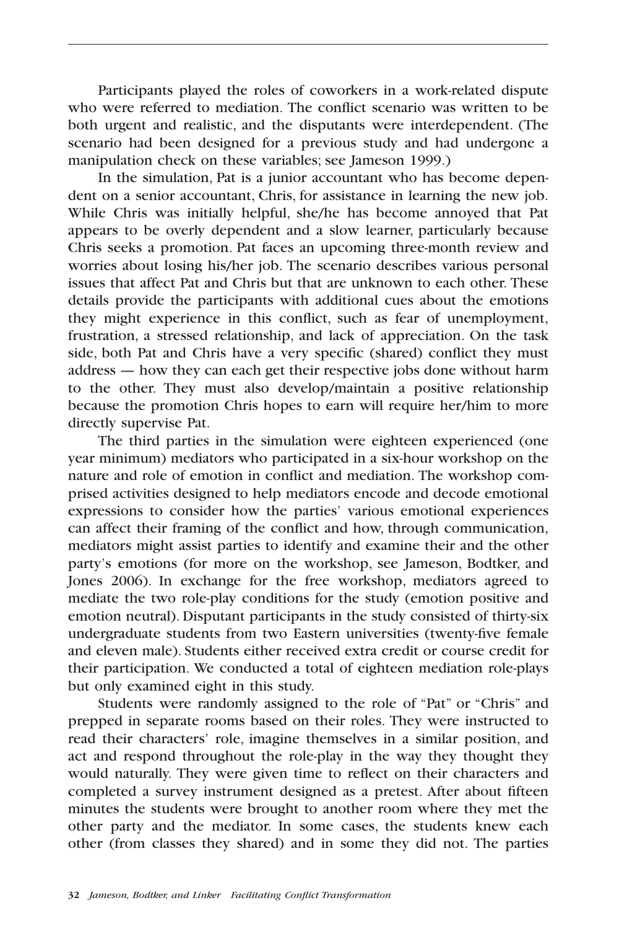Participants played the roles of coworkers in a work-related dispute who were referred to mediation. The conflict scenario was written to be both urgent and realistic, and the disputants were interdependent. (The scenario had been designed for a previous study and had undergone a manipulation check on these variables; see Jameson 1999.)

In the simulation, Pat is a junior accountant who has become dependent on a senior accountant, Chris, for assistance in learning the new job. While Chris was initially helpful, she/he has become annoyed that Pat appears to be overly dependent and a slow learner, particularly because Chris seeks a promotion. Pat faces an upcoming three-month review and worries about losing his/her job. The scenario describes various personal issues that affect Pat and Chris but that are unknown to each other. These details provide the participants with additional cues about the emotions they might experience in this conflict, such as fear of unemployment, frustration, a stressed relationship, and lack of appreciation. On the task side, both Pat and Chris have a very specific (shared) conflict they must address — how they can each get their respective jobs done without harm to the other. They must also develop/maintain a positive relationship because the promotion Chris hopes to earn will require her/him to more directly supervise Pat.

The third parties in the simulation were eighteen experienced (one year minimum) mediators who participated in a six-hour workshop on the nature and role of emotion in conflict and mediation. The workshop comprised activities designed to help mediators encode and decode emotional expressions to consider how the parties' various emotional experiences can affect their framing of the conflict and how, through communication, mediators might assist parties to identify and examine their and the other party's emotions (for more on the workshop, see Jameson, Bodtker, and Jones 2006). In exchange for the free workshop, mediators agreed to mediate the two role-play conditions for the study (emotion positive and emotion neutral). Disputant participants in the study consisted of thirty-six undergraduate students from two Eastern universities (twenty-five female and eleven male). Students either received extra credit or course credit for their participation. We conducted a total of eighteen mediation role-plays but only examined eight in this study.

Students were randomly assigned to the role of "Pat" or "Chris" and prepped in separate rooms based on their roles. They were instructed to read their characters' role, imagine themselves in a similar position, and act and respond throughout the role-play in the way they thought they would naturally. They were given time to reflect on their characters and completed a survey instrument designed as a pretest. After about fifteen minutes the students were brought to another room where they met the other party and the mediator. In some cases, the students knew each other (from classes they shared) and in some they did not. The parties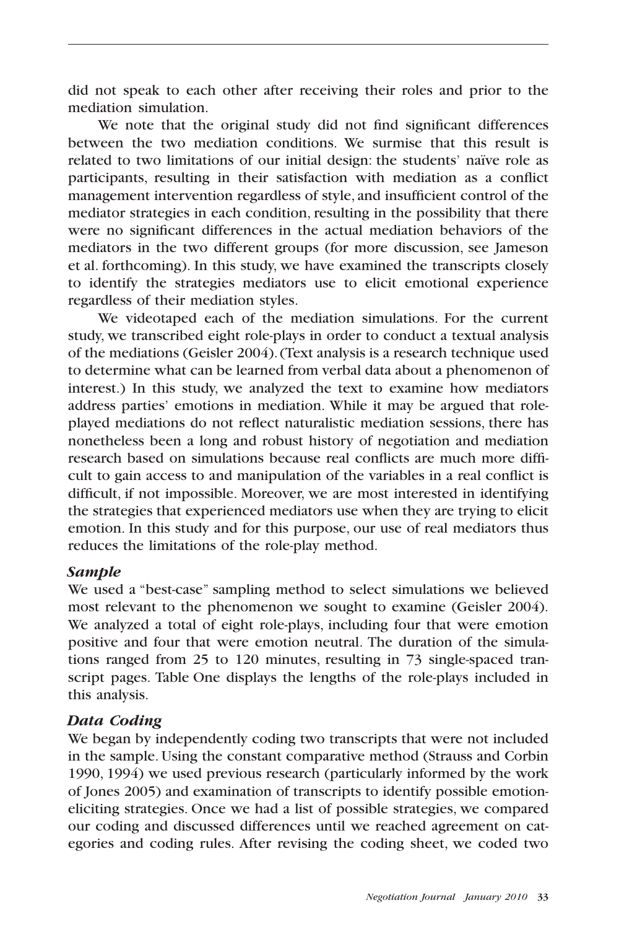did not speak to each other after receiving their roles and prior to the mediation simulation.

We note that the original study did not find significant differences between the two mediation conditions. We surmise that this result is related to two limitations of our initial design: the students' naïve role as participants, resulting in their satisfaction with mediation as a conflict management intervention regardless of style, and insufficient control of the mediator strategies in each condition, resulting in the possibility that there were no significant differences in the actual mediation behaviors of the mediators in the two different groups (for more discussion, see Jameson et al. forthcoming). In this study, we have examined the transcripts closely to identify the strategies mediators use to elicit emotional experience regardless of their mediation styles.

We videotaped each of the mediation simulations. For the current study, we transcribed eight role-plays in order to conduct a textual analysis of the mediations (Geisler 2004). (Text analysis is a research technique used to determine what can be learned from verbal data about a phenomenon of interest.) In this study, we analyzed the text to examine how mediators address parties' emotions in mediation. While it may be argued that roleplayed mediations do not reflect naturalistic mediation sessions, there has nonetheless been a long and robust history of negotiation and mediation research based on simulations because real conflicts are much more difficult to gain access to and manipulation of the variables in a real conflict is difficult, if not impossible. Moreover, we are most interested in identifying the strategies that experienced mediators use when they are trying to elicit emotion. In this study and for this purpose, our use of real mediators thus reduces the limitations of the role-play method.

#### *Sample*

We used a "best-case" sampling method to select simulations we believed most relevant to the phenomenon we sought to examine (Geisler 2004). We analyzed a total of eight role-plays, including four that were emotion positive and four that were emotion neutral. The duration of the simulations ranged from 25 to 120 minutes, resulting in 73 single-spaced transcript pages. Table One displays the lengths of the role-plays included in this analysis.

#### *Data Coding*

We began by independently coding two transcripts that were not included in the sample. Using the constant comparative method (Strauss and Corbin 1990, 1994) we used previous research (particularly informed by the work of Jones 2005) and examination of transcripts to identify possible emotioneliciting strategies. Once we had a list of possible strategies, we compared our coding and discussed differences until we reached agreement on categories and coding rules. After revising the coding sheet, we coded two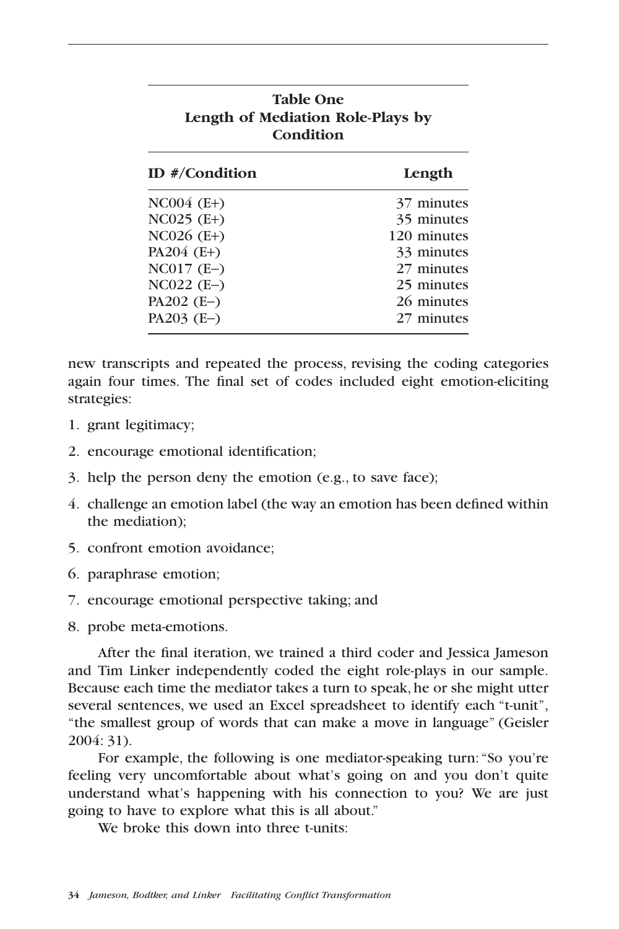| <b>Table One</b><br>Length of Mediation Role-Plays by<br>Condition |             |
|--------------------------------------------------------------------|-------------|
| ID #/Condition                                                     | Length      |
| $NCOO4$ (E+)                                                       | 37 minutes  |
| $NCO25$ (E+)                                                       | 35 minutes  |
| $NCO26$ (E+)                                                       | 120 minutes |
| PA204 (E+)                                                         | 33 minutes  |
| $NCO17$ (E-)                                                       | 27 minutes  |
| $NCO22$ (E-)                                                       | 25 minutes  |
| PA202 $(E-)$                                                       | 26 minutes  |
| PA203 $(E-)$                                                       | 27 minutes  |

new transcripts and repeated the process, revising the coding categories again four times. The final set of codes included eight emotion-eliciting strategies:

- 1. grant legitimacy;
- 2. encourage emotional identification;
- 3. help the person deny the emotion (e.g., to save face);
- 4. challenge an emotion label (the way an emotion has been defined within the mediation);
- 5. confront emotion avoidance;
- 6. paraphrase emotion;
- 7. encourage emotional perspective taking; and
- 8. probe meta-emotions.

After the final iteration, we trained a third coder and Jessica Jameson and Tim Linker independently coded the eight role-plays in our sample. Because each time the mediator takes a turn to speak, he or she might utter several sentences, we used an Excel spreadsheet to identify each "t-unit", "the smallest group of words that can make a move in language" (Geisler 2004: 31).

For example, the following is one mediator-speaking turn: "So you're feeling very uncomfortable about what's going on and you don't quite understand what's happening with his connection to you? We are just going to have to explore what this is all about."

We broke this down into three t-units: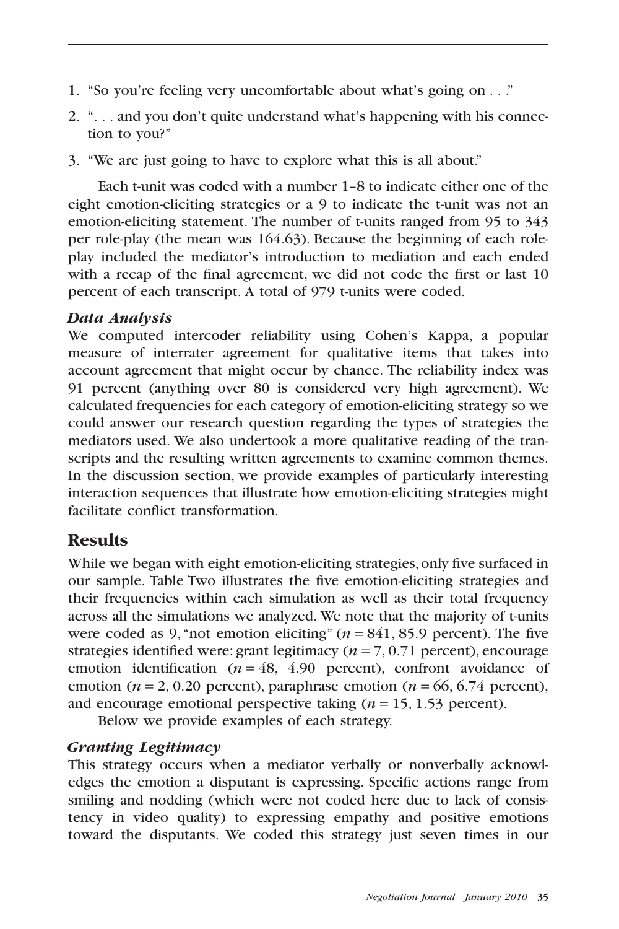- 1. "So you're feeling very uncomfortable about what's going on . . ."
- 2. ". . . and you don't quite understand what's happening with his connection to you?"
- 3. "We are just going to have to explore what this is all about."

Each t-unit was coded with a number 1–8 to indicate either one of the eight emotion-eliciting strategies or a 9 to indicate the t-unit was not an emotion-eliciting statement. The number of t-units ranged from 95 to 343 per role-play (the mean was 164.63). Because the beginning of each roleplay included the mediator's introduction to mediation and each ended with a recap of the final agreement, we did not code the first or last 10 percent of each transcript. A total of 979 t-units were coded.

#### *Data Analysis*

We computed intercoder reliability using Cohen's Kappa, a popular measure of interrater agreement for qualitative items that takes into account agreement that might occur by chance. The reliability index was 91 percent (anything over 80 is considered very high agreement). We calculated frequencies for each category of emotion-eliciting strategy so we could answer our research question regarding the types of strategies the mediators used. We also undertook a more qualitative reading of the transcripts and the resulting written agreements to examine common themes. In the discussion section, we provide examples of particularly interesting interaction sequences that illustrate how emotion-eliciting strategies might facilitate conflict transformation.

## **Results**

While we began with eight emotion-eliciting strategies, only five surfaced in our sample. Table Two illustrates the five emotion-eliciting strategies and their frequencies within each simulation as well as their total frequency across all the simulations we analyzed. We note that the majority of t-units were coded as 9, "not emotion eliciting"  $(n = 841, 85.9)$  percent). The five strategies identified were: grant legitimacy ( $n = 7, 0.71$  percent), encourage emotion identification  $(n = 48, 4.90$  percent), confront avoidance of emotion ( $n = 2, 0.20$  percent), paraphrase emotion ( $n = 66, 6.74$  percent), and encourage emotional perspective taking  $(n = 15, 1.53$  percent).

Below we provide examples of each strategy.

#### *Granting Legitimacy*

This strategy occurs when a mediator verbally or nonverbally acknowledges the emotion a disputant is expressing. Specific actions range from smiling and nodding (which were not coded here due to lack of consistency in video quality) to expressing empathy and positive emotions toward the disputants. We coded this strategy just seven times in our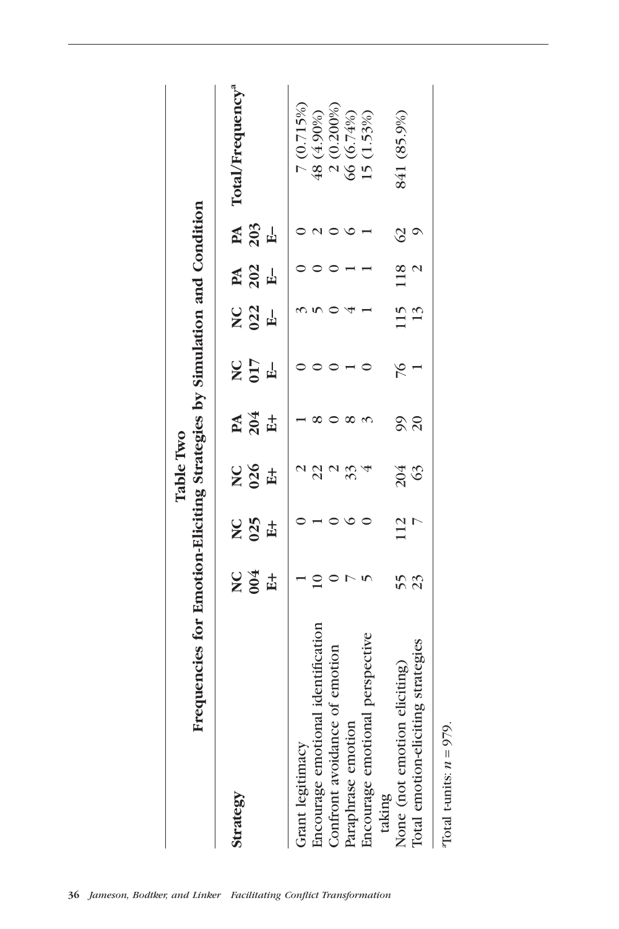| requencies for Emotion-Eliciting Strategies by Simulation and Condition                                                                                                                                                             |                  |              | Table Two       |                   |              |                    |                        |                        |                                                                                |
|-------------------------------------------------------------------------------------------------------------------------------------------------------------------------------------------------------------------------------------|------------------|--------------|-----------------|-------------------|--------------|--------------------|------------------------|------------------------|--------------------------------------------------------------------------------|
| Strategy                                                                                                                                                                                                                            | <b>NS4</b><br>图片 | <b>NS 3H</b> | <b>NS 4</b>     | <b>A34</b><br>204 | $25L$<br>B-E | <b>NO22</b><br>B-1 | <b>PA</b><br>202<br>E- | <b>PA</b><br>203<br>E- | Total/Frequency <sup>a</sup>                                                   |
| Encourage emotional perspective<br>Total emotion-eliciting strategies<br>Encourage emotional identificati<br>Confront avoidance of emotion<br>n eliciting)<br>Paraphrase emotion<br>None (not emotion<br>Grant legitimacy<br>taking | 23<br>55         | 112          | 204<br>63<br>33 | $\frac{8}{20}$    |              | 115<br>13          | 118                    | $\Im$                  | 7(0.715%)<br>2(0.200%<br>48 (4.90%)<br>841 (85.9%)<br>66 (6.74%)<br>15 (1.53%) |

aTotal t-units: *n* = 979.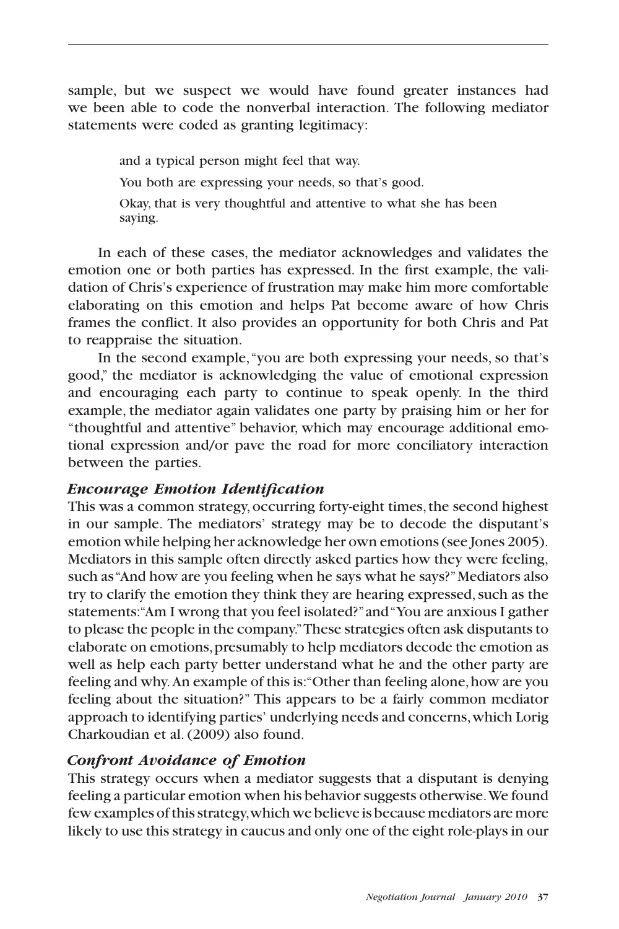sample, but we suspect we would have found greater instances had we been able to code the nonverbal interaction. The following mediator statements were coded as granting legitimacy:

and a typical person might feel that way.

You both are expressing your needs, so that's good.

Okay, that is very thoughtful and attentive to what she has been saying.

In each of these cases, the mediator acknowledges and validates the emotion one or both parties has expressed. In the first example, the validation of Chris's experience of frustration may make him more comfortable elaborating on this emotion and helps Pat become aware of how Chris frames the conflict. It also provides an opportunity for both Chris and Pat to reappraise the situation.

In the second example,"you are both expressing your needs, so that's good," the mediator is acknowledging the value of emotional expression and encouraging each party to continue to speak openly. In the third example, the mediator again validates one party by praising him or her for "thoughtful and attentive" behavior, which may encourage additional emotional expression and/or pave the road for more conciliatory interaction between the parties.

#### *Encourage Emotion Identification*

This was a common strategy, occurring forty-eight times, the second highest in our sample. The mediators' strategy may be to decode the disputant's emotion while helping her acknowledge her own emotions (see Jones 2005). Mediators in this sample often directly asked parties how they were feeling, such as "And how are you feeling when he says what he says?" Mediators also try to clarify the emotion they think they are hearing expressed, such as the statements:"Am I wrong that you feel isolated?"and"You are anxious I gather to please the people in the company."These strategies often ask disputants to elaborate on emotions,presumably to help mediators decode the emotion as well as help each party better understand what he and the other party are feeling and why.An example of this is:"Other than feeling alone,how are you feeling about the situation?" This appears to be a fairly common mediator approach to identifying parties' underlying needs and concerns,which Lorig Charkoudian et al. (2009) also found.

## *Confront Avoidance of Emotion*

This strategy occurs when a mediator suggests that a disputant is denying feeling a particular emotion when his behavior suggests otherwise.We found few examples of this strategy,which we believe is because mediators are more likely to use this strategy in caucus and only one of the eight role-plays in our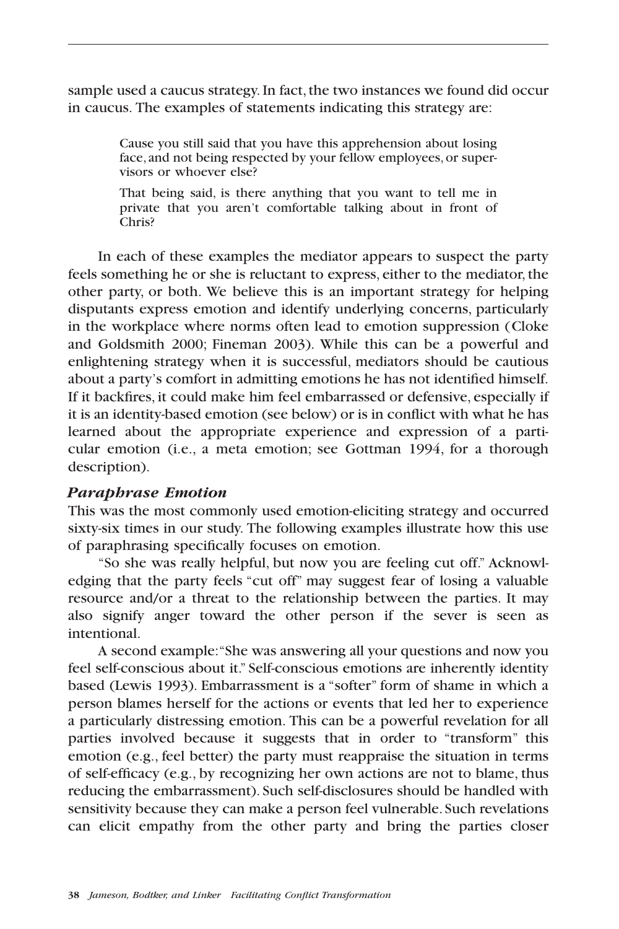sample used a caucus strategy. In fact, the two instances we found did occur in caucus. The examples of statements indicating this strategy are:

> Cause you still said that you have this apprehension about losing face, and not being respected by your fellow employees, or supervisors or whoever else?

> That being said, is there anything that you want to tell me in private that you aren't comfortable talking about in front of Chris?

In each of these examples the mediator appears to suspect the party feels something he or she is reluctant to express, either to the mediator, the other party, or both. We believe this is an important strategy for helping disputants express emotion and identify underlying concerns, particularly in the workplace where norms often lead to emotion suppression (Cloke and Goldsmith 2000; Fineman 2003). While this can be a powerful and enlightening strategy when it is successful, mediators should be cautious about a party's comfort in admitting emotions he has not identified himself. If it backfires, it could make him feel embarrassed or defensive, especially if it is an identity-based emotion (see below) or is in conflict with what he has learned about the appropriate experience and expression of a particular emotion (i.e., a meta emotion; see Gottman 1994, for a thorough description).

#### *Paraphrase Emotion*

This was the most commonly used emotion-eliciting strategy and occurred sixty-six times in our study. The following examples illustrate how this use of paraphrasing specifically focuses on emotion.

"So she was really helpful, but now you are feeling cut off." Acknowledging that the party feels "cut off" may suggest fear of losing a valuable resource and/or a threat to the relationship between the parties. It may also signify anger toward the other person if the sever is seen as intentional.

A second example:"She was answering all your questions and now you feel self-conscious about it." Self-conscious emotions are inherently identity based (Lewis 1993). Embarrassment is a "softer" form of shame in which a person blames herself for the actions or events that led her to experience a particularly distressing emotion. This can be a powerful revelation for all parties involved because it suggests that in order to "transform" this emotion (e.g., feel better) the party must reappraise the situation in terms of self-efficacy (e.g., by recognizing her own actions are not to blame, thus reducing the embarrassment). Such self-disclosures should be handled with sensitivity because they can make a person feel vulnerable. Such revelations can elicit empathy from the other party and bring the parties closer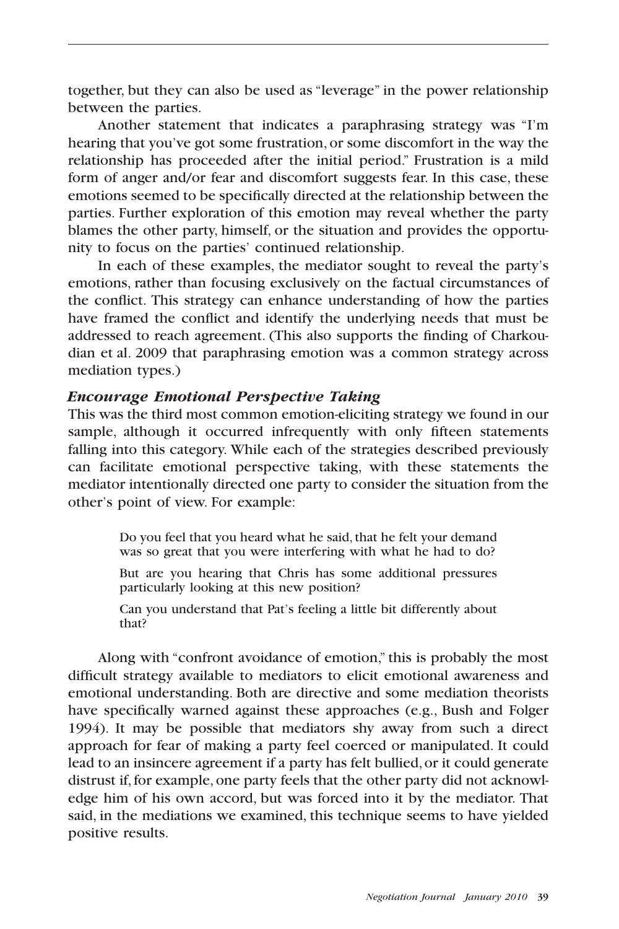together, but they can also be used as "leverage" in the power relationship between the parties.

Another statement that indicates a paraphrasing strategy was "I'm hearing that you've got some frustration, or some discomfort in the way the relationship has proceeded after the initial period." Frustration is a mild form of anger and/or fear and discomfort suggests fear. In this case, these emotions seemed to be specifically directed at the relationship between the parties. Further exploration of this emotion may reveal whether the party blames the other party, himself, or the situation and provides the opportunity to focus on the parties' continued relationship.

In each of these examples, the mediator sought to reveal the party's emotions, rather than focusing exclusively on the factual circumstances of the conflict. This strategy can enhance understanding of how the parties have framed the conflict and identify the underlying needs that must be addressed to reach agreement. (This also supports the finding of Charkoudian et al. 2009 that paraphrasing emotion was a common strategy across mediation types.)

#### *Encourage Emotional Perspective Taking*

This was the third most common emotion-eliciting strategy we found in our sample, although it occurred infrequently with only fifteen statements falling into this category. While each of the strategies described previously can facilitate emotional perspective taking, with these statements the mediator intentionally directed one party to consider the situation from the other's point of view. For example:

> Do you feel that you heard what he said, that he felt your demand was so great that you were interfering with what he had to do?

> But are you hearing that Chris has some additional pressures particularly looking at this new position?

> Can you understand that Pat's feeling a little bit differently about that?

Along with "confront avoidance of emotion," this is probably the most difficult strategy available to mediators to elicit emotional awareness and emotional understanding. Both are directive and some mediation theorists have specifically warned against these approaches (e.g., Bush and Folger 1994). It may be possible that mediators shy away from such a direct approach for fear of making a party feel coerced or manipulated. It could lead to an insincere agreement if a party has felt bullied, or it could generate distrust if, for example, one party feels that the other party did not acknowledge him of his own accord, but was forced into it by the mediator. That said, in the mediations we examined, this technique seems to have yielded positive results.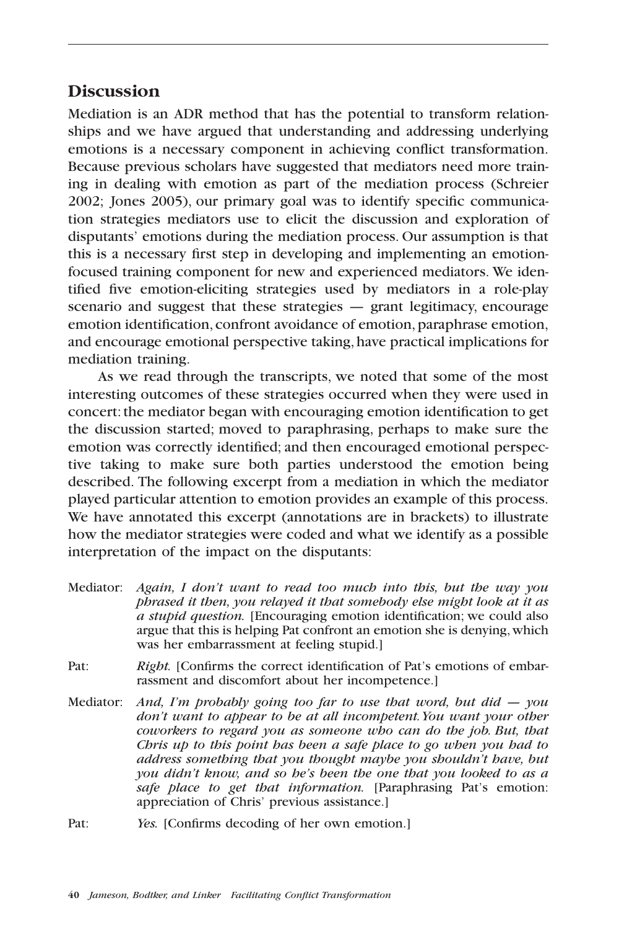#### **Discussion**

Mediation is an ADR method that has the potential to transform relationships and we have argued that understanding and addressing underlying emotions is a necessary component in achieving conflict transformation. Because previous scholars have suggested that mediators need more training in dealing with emotion as part of the mediation process (Schreier 2002; Jones 2005), our primary goal was to identify specific communication strategies mediators use to elicit the discussion and exploration of disputants' emotions during the mediation process. Our assumption is that this is a necessary first step in developing and implementing an emotionfocused training component for new and experienced mediators. We identified five emotion-eliciting strategies used by mediators in a role-play scenario and suggest that these strategies — grant legitimacy, encourage emotion identification, confront avoidance of emotion, paraphrase emotion, and encourage emotional perspective taking, have practical implications for mediation training.

As we read through the transcripts, we noted that some of the most interesting outcomes of these strategies occurred when they were used in concert: the mediator began with encouraging emotion identification to get the discussion started; moved to paraphrasing, perhaps to make sure the emotion was correctly identified; and then encouraged emotional perspective taking to make sure both parties understood the emotion being described. The following excerpt from a mediation in which the mediator played particular attention to emotion provides an example of this process. We have annotated this excerpt (annotations are in brackets) to illustrate how the mediator strategies were coded and what we identify as a possible interpretation of the impact on the disputants:

- Mediator: *Again, I don't want to read too much into this, but the way you phrased it then, you relayed it that somebody else might look at it as a stupid question.* [Encouraging emotion identification; we could also argue that this is helping Pat confront an emotion she is denying,which was her embarrassment at feeling stupid.]
- Pat: *Right.* [Confirms the correct identification of Pat's emotions of embarrassment and discomfort about her incompetence.]
- Mediator: *And, I'm probably going too far to use that word, but did you don't want to appear to be at all incompetent.You want your other coworkers to regard you as someone who can do the job. But, that Chris up to this point has been a safe place to go when you had to address something that you thought maybe you shouldn't have, but you didn't know, and so he's been the one that you looked to as a safe place to get that information.* [Paraphrasing Pat's emotion: appreciation of Chris' previous assistance.]
- Pat: *Yes.* [Confirms decoding of her own emotion.]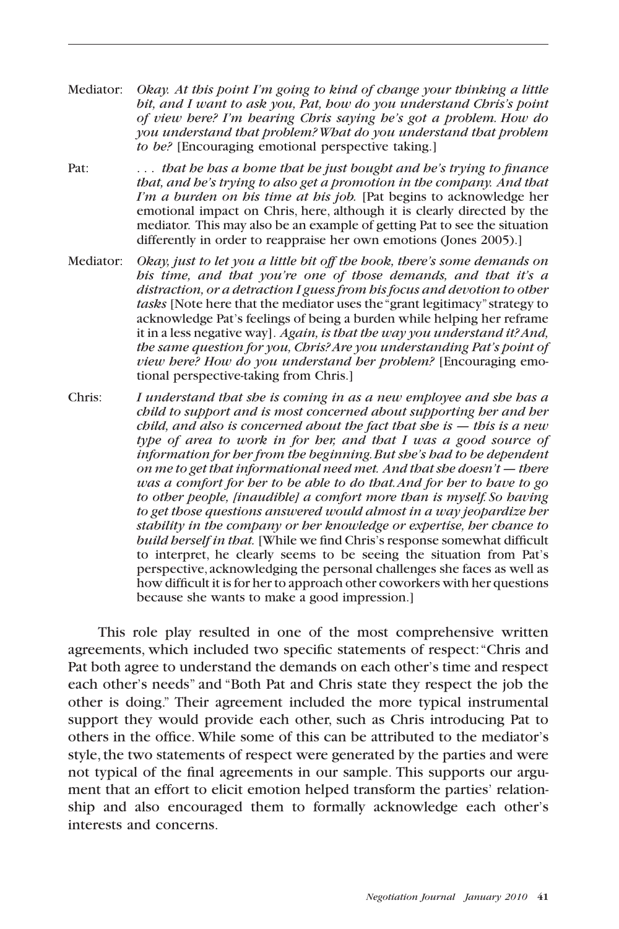- Mediator: *Okay. At this point I'm going to kind of change your thinking a little bit, and I want to ask you, Pat, how do you understand Chris's point of view here? I'm hearing Chris saying he's got a problem. How do you understand that problem?What do you understand that problem to be?* [Encouraging emotional perspective taking.]
- Pat: . . . *that he has a home that he just bought and he's trying to finance that, and he's trying to also get a promotion in the company. And that I'm a burden on his time at his job.* [Pat begins to acknowledge her emotional impact on Chris, here, although it is clearly directed by the mediator. This may also be an example of getting Pat to see the situation differently in order to reappraise her own emotions (Jones 2005).]
- Mediator: *Okay, just to let you a little bit off the hook, there's some demands on his time, and that you're one of those demands, and that it's a distraction, or a detraction I guess from his focus and devotion to other tasks* [Note here that the mediator uses the"grant legitimacy"strategy to acknowledge Pat's feelings of being a burden while helping her reframe it in a less negative way]. *Again, is that the way you understand it? And, the same question for you, Chris? Are you understanding Pat's point of view here? How do you understand her problem?* [Encouraging emotional perspective-taking from Chris.]
- Chris: *I understand that she is coming in as a new employee and she has a child to support and is most concerned about supporting her and her child, and also is concerned about the fact that she is — this is a new type of area to work in for her, and that I was a good source of information for her from the beginning.But she's had to be dependent on me to get that informational need met. And that she doesn't — there was a comfort for her to be able to do that.And for her to have to go to other people, [inaudible] a comfort more than is myself. So having to get those questions answered would almost in a way jeopardize her stability in the company or her knowledge or expertise, her chance to build herself in that.* [While we find Chris's response somewhat difficult to interpret, he clearly seems to be seeing the situation from Pat's perspective, acknowledging the personal challenges she faces as well as how difficult it is for her to approach other coworkers with her questions because she wants to make a good impression.]

This role play resulted in one of the most comprehensive written agreements, which included two specific statements of respect:"Chris and Pat both agree to understand the demands on each other's time and respect each other's needs" and "Both Pat and Chris state they respect the job the other is doing." Their agreement included the more typical instrumental support they would provide each other, such as Chris introducing Pat to others in the office. While some of this can be attributed to the mediator's style, the two statements of respect were generated by the parties and were not typical of the final agreements in our sample. This supports our argument that an effort to elicit emotion helped transform the parties' relationship and also encouraged them to formally acknowledge each other's interests and concerns.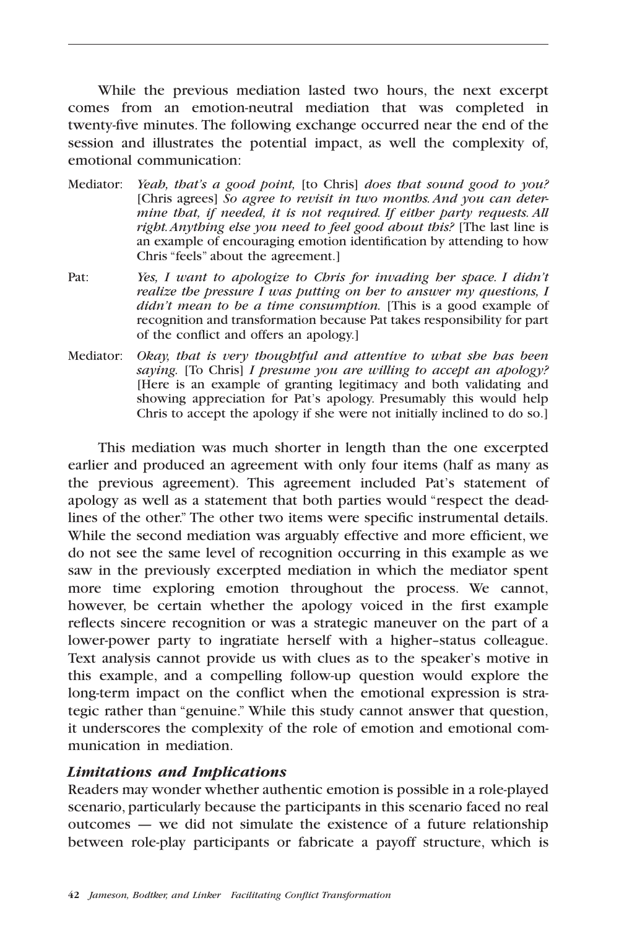While the previous mediation lasted two hours, the next excerpt comes from an emotion-neutral mediation that was completed in twenty-five minutes. The following exchange occurred near the end of the session and illustrates the potential impact, as well the complexity of, emotional communication:

- Mediator: *Yeah, that's a good point,* [to Chris] *does that sound good to you?* [Chris agrees] *So agree to revisit in two months. And you can determine that, if needed, it is not required. If either party requests. All right.Anything else you need to feel good about this?* [The last line is an example of encouraging emotion identification by attending to how Chris "feels" about the agreement.]
- Pat: *Yes, I want to apologize to Chris for invading her space. I didn't realize the pressure I was putting on her to answer my questions, I didn't mean to be a time consumption.* [This is a good example of recognition and transformation because Pat takes responsibility for part of the conflict and offers an apology.]
- Mediator: *Okay, that is very thoughtful and attentive to what she has been saying.* [To Chris] *I presume you are willing to accept an apology?* [Here is an example of granting legitimacy and both validating and showing appreciation for Pat's apology. Presumably this would help Chris to accept the apology if she were not initially inclined to do so.]

This mediation was much shorter in length than the one excerpted earlier and produced an agreement with only four items (half as many as the previous agreement). This agreement included Pat's statement of apology as well as a statement that both parties would "respect the deadlines of the other." The other two items were specific instrumental details. While the second mediation was arguably effective and more efficient, we do not see the same level of recognition occurring in this example as we saw in the previously excerpted mediation in which the mediator spent more time exploring emotion throughout the process. We cannot, however, be certain whether the apology voiced in the first example reflects sincere recognition or was a strategic maneuver on the part of a lower-power party to ingratiate herself with a higher–status colleague. Text analysis cannot provide us with clues as to the speaker's motive in this example, and a compelling follow-up question would explore the long-term impact on the conflict when the emotional expression is strategic rather than "genuine." While this study cannot answer that question, it underscores the complexity of the role of emotion and emotional communication in mediation.

#### *Limitations and Implications*

Readers may wonder whether authentic emotion is possible in a role-played scenario, particularly because the participants in this scenario faced no real outcomes — we did not simulate the existence of a future relationship between role-play participants or fabricate a payoff structure, which is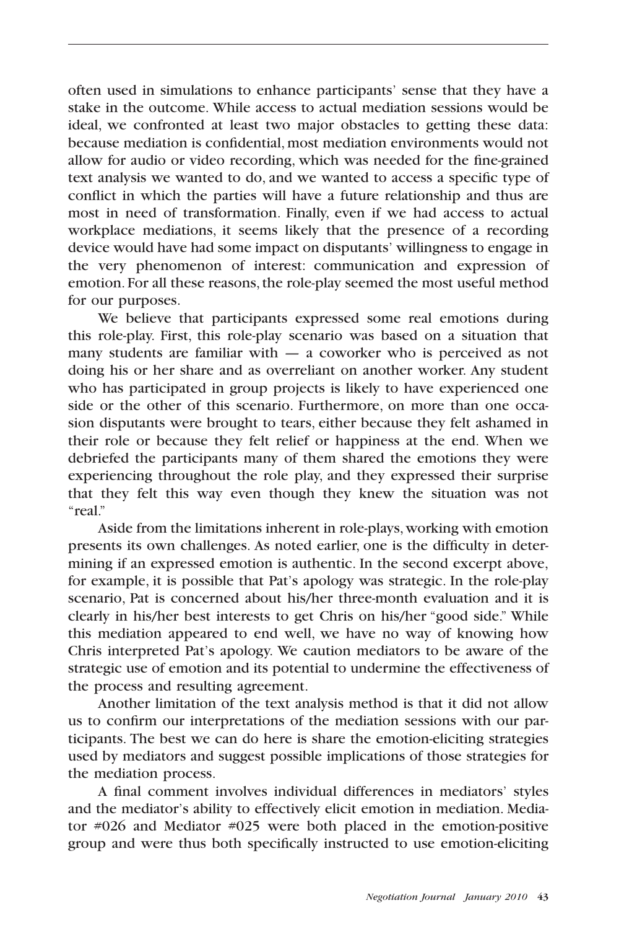often used in simulations to enhance participants' sense that they have a stake in the outcome. While access to actual mediation sessions would be ideal, we confronted at least two major obstacles to getting these data: because mediation is confidential, most mediation environments would not allow for audio or video recording, which was needed for the fine-grained text analysis we wanted to do, and we wanted to access a specific type of conflict in which the parties will have a future relationship and thus are most in need of transformation. Finally, even if we had access to actual workplace mediations, it seems likely that the presence of a recording device would have had some impact on disputants' willingness to engage in the very phenomenon of interest: communication and expression of emotion. For all these reasons, the role-play seemed the most useful method for our purposes.

We believe that participants expressed some real emotions during this role-play. First, this role-play scenario was based on a situation that many students are familiar with  $-$  a coworker who is perceived as not doing his or her share and as overreliant on another worker. Any student who has participated in group projects is likely to have experienced one side or the other of this scenario. Furthermore, on more than one occasion disputants were brought to tears, either because they felt ashamed in their role or because they felt relief or happiness at the end. When we debriefed the participants many of them shared the emotions they were experiencing throughout the role play, and they expressed their surprise that they felt this way even though they knew the situation was not "real."

Aside from the limitations inherent in role-plays, working with emotion presents its own challenges. As noted earlier, one is the difficulty in determining if an expressed emotion is authentic. In the second excerpt above, for example, it is possible that Pat's apology was strategic. In the role-play scenario, Pat is concerned about his/her three-month evaluation and it is clearly in his/her best interests to get Chris on his/her "good side." While this mediation appeared to end well, we have no way of knowing how Chris interpreted Pat's apology. We caution mediators to be aware of the strategic use of emotion and its potential to undermine the effectiveness of the process and resulting agreement.

Another limitation of the text analysis method is that it did not allow us to confirm our interpretations of the mediation sessions with our participants. The best we can do here is share the emotion-eliciting strategies used by mediators and suggest possible implications of those strategies for the mediation process.

A final comment involves individual differences in mediators' styles and the mediator's ability to effectively elicit emotion in mediation. Mediator #026 and Mediator #025 were both placed in the emotion-positive group and were thus both specifically instructed to use emotion-eliciting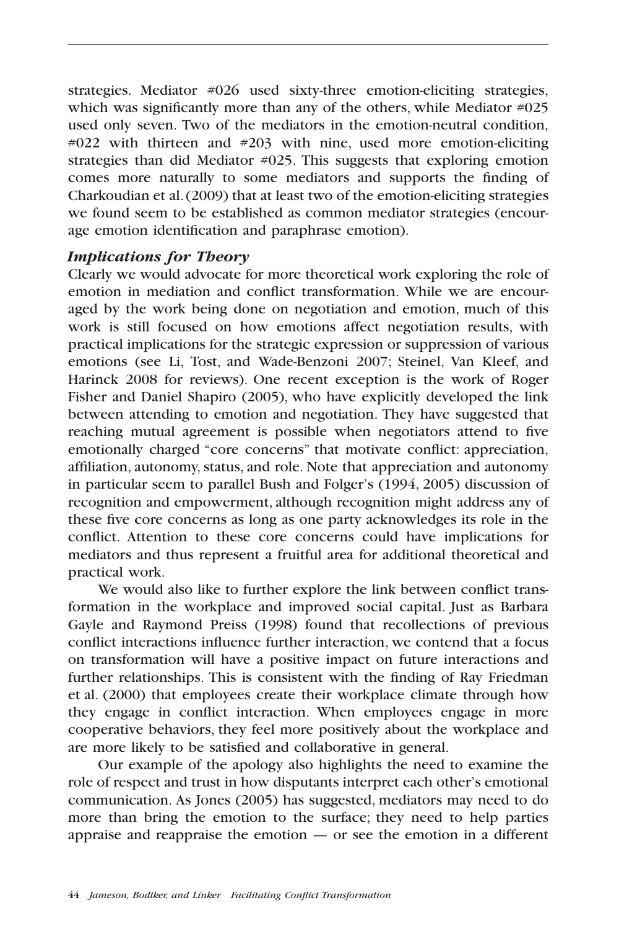strategies. Mediator #026 used sixty-three emotion-eliciting strategies, which was significantly more than any of the others, while Mediator #025 used only seven. Two of the mediators in the emotion-neutral condition,  $\text{\#}022$  with thirteen and  $\text{\#}203$  with nine, used more emotion-eliciting strategies than did Mediator  $\#025$ . This suggests that exploring emotion comes more naturally to some mediators and supports the finding of Charkoudian et al. (2009) that at least two of the emotion-eliciting strategies we found seem to be established as common mediator strategies (encourage emotion identification and paraphrase emotion).

#### *Implications for Theory*

Clearly we would advocate for more theoretical work exploring the role of emotion in mediation and conflict transformation. While we are encouraged by the work being done on negotiation and emotion, much of this work is still focused on how emotions affect negotiation results, with practical implications for the strategic expression or suppression of various emotions (see Li, Tost, and Wade-Benzoni 2007; Steinel, Van Kleef, and Harinck 2008 for reviews). One recent exception is the work of Roger Fisher and Daniel Shapiro (2005), who have explicitly developed the link between attending to emotion and negotiation. They have suggested that reaching mutual agreement is possible when negotiators attend to five emotionally charged "core concerns" that motivate conflict: appreciation, affiliation, autonomy, status, and role. Note that appreciation and autonomy in particular seem to parallel Bush and Folger's (1994, 2005) discussion of recognition and empowerment, although recognition might address any of these five core concerns as long as one party acknowledges its role in the conflict. Attention to these core concerns could have implications for mediators and thus represent a fruitful area for additional theoretical and practical work.

We would also like to further explore the link between conflict transformation in the workplace and improved social capital. Just as Barbara Gayle and Raymond Preiss (1998) found that recollections of previous conflict interactions influence further interaction, we contend that a focus on transformation will have a positive impact on future interactions and further relationships. This is consistent with the finding of Ray Friedman et al. (2000) that employees create their workplace climate through how they engage in conflict interaction. When employees engage in more cooperative behaviors, they feel more positively about the workplace and are more likely to be satisfied and collaborative in general.

Our example of the apology also highlights the need to examine the role of respect and trust in how disputants interpret each other's emotional communication. As Jones (2005) has suggested, mediators may need to do more than bring the emotion to the surface; they need to help parties appraise and reappraise the emotion — or see the emotion in a different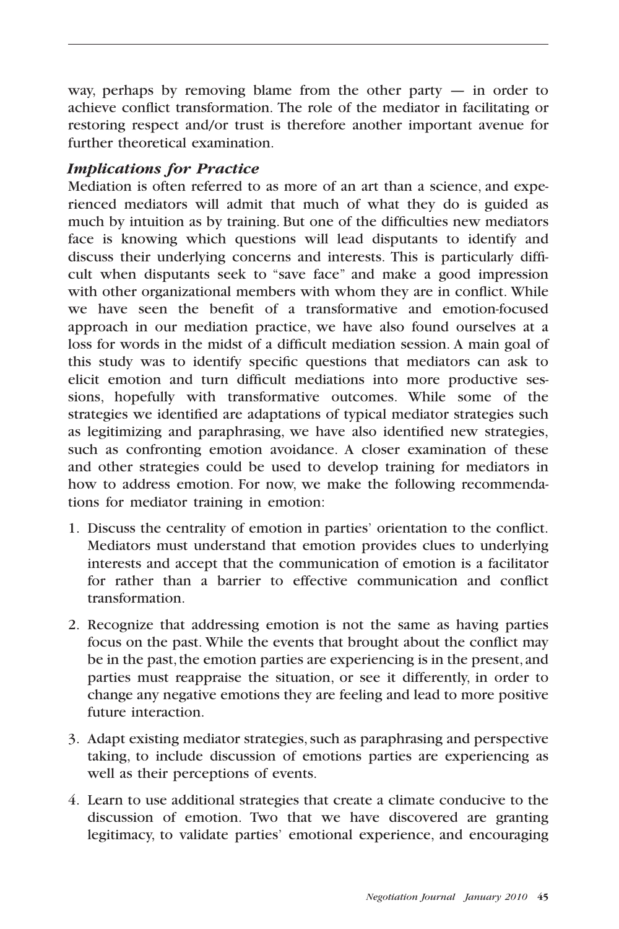way, perhaps by removing blame from the other party  $-$  in order to achieve conflict transformation. The role of the mediator in facilitating or restoring respect and/or trust is therefore another important avenue for further theoretical examination.

#### *Implications for Practice*

Mediation is often referred to as more of an art than a science, and experienced mediators will admit that much of what they do is guided as much by intuition as by training. But one of the difficulties new mediators face is knowing which questions will lead disputants to identify and discuss their underlying concerns and interests. This is particularly difficult when disputants seek to "save face" and make a good impression with other organizational members with whom they are in conflict. While we have seen the benefit of a transformative and emotion-focused approach in our mediation practice, we have also found ourselves at a loss for words in the midst of a difficult mediation session. A main goal of this study was to identify specific questions that mediators can ask to elicit emotion and turn difficult mediations into more productive sessions, hopefully with transformative outcomes. While some of the strategies we identified are adaptations of typical mediator strategies such as legitimizing and paraphrasing, we have also identified new strategies, such as confronting emotion avoidance. A closer examination of these and other strategies could be used to develop training for mediators in how to address emotion. For now, we make the following recommendations for mediator training in emotion:

- 1. Discuss the centrality of emotion in parties' orientation to the conflict. Mediators must understand that emotion provides clues to underlying interests and accept that the communication of emotion is a facilitator for rather than a barrier to effective communication and conflict transformation.
- 2. Recognize that addressing emotion is not the same as having parties focus on the past. While the events that brought about the conflict may be in the past, the emotion parties are experiencing is in the present, and parties must reappraise the situation, or see it differently, in order to change any negative emotions they are feeling and lead to more positive future interaction.
- 3. Adapt existing mediator strategies, such as paraphrasing and perspective taking, to include discussion of emotions parties are experiencing as well as their perceptions of events.
- 4. Learn to use additional strategies that create a climate conducive to the discussion of emotion. Two that we have discovered are granting legitimacy, to validate parties' emotional experience, and encouraging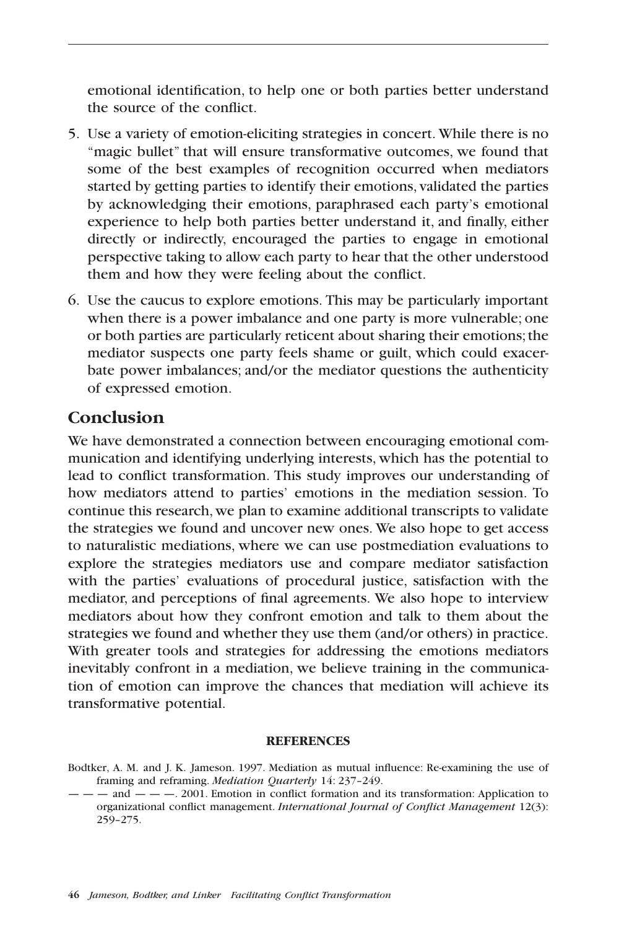emotional identification, to help one or both parties better understand the source of the conflict.

- 5. Use a variety of emotion-eliciting strategies in concert. While there is no "magic bullet" that will ensure transformative outcomes, we found that some of the best examples of recognition occurred when mediators started by getting parties to identify their emotions, validated the parties by acknowledging their emotions, paraphrased each party's emotional experience to help both parties better understand it, and finally, either directly or indirectly, encouraged the parties to engage in emotional perspective taking to allow each party to hear that the other understood them and how they were feeling about the conflict.
- 6. Use the caucus to explore emotions. This may be particularly important when there is a power imbalance and one party is more vulnerable; one or both parties are particularly reticent about sharing their emotions; the mediator suspects one party feels shame or guilt, which could exacerbate power imbalances; and/or the mediator questions the authenticity of expressed emotion.

## **Conclusion**

We have demonstrated a connection between encouraging emotional communication and identifying underlying interests, which has the potential to lead to conflict transformation. This study improves our understanding of how mediators attend to parties' emotions in the mediation session. To continue this research,we plan to examine additional transcripts to validate the strategies we found and uncover new ones. We also hope to get access to naturalistic mediations, where we can use postmediation evaluations to explore the strategies mediators use and compare mediator satisfaction with the parties' evaluations of procedural justice, satisfaction with the mediator, and perceptions of final agreements. We also hope to interview mediators about how they confront emotion and talk to them about the strategies we found and whether they use them (and/or others) in practice. With greater tools and strategies for addressing the emotions mediators inevitably confront in a mediation, we believe training in the communication of emotion can improve the chances that mediation will achieve its transformative potential.

#### **REFERENCES**

Bodtker, A. M. and J. K. Jameson. 1997. Mediation as mutual influence: Re-examining the use of framing and reframing. *Mediation Quarterly* 14: 237–249.

 $---$  and  $---$  2001. Emotion in conflict formation and its transformation: Application to organizational conflict management. *International Journal of Conflict Management* 12(3): 259–275.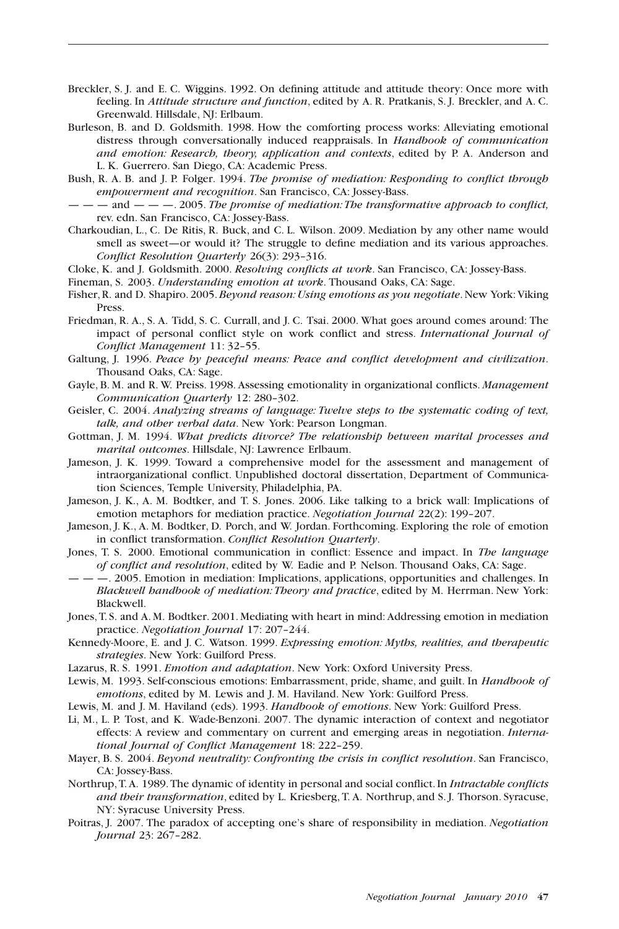- Breckler, S. J. and E. C. Wiggins. 1992. On defining attitude and attitude theory: Once more with feeling. In *Attitude structure and function*, edited by A. R. Pratkanis, S. J. Breckler, and A. C. Greenwald. Hillsdale, NJ: Erlbaum.
- Burleson, B. and D. Goldsmith. 1998. How the comforting process works: Alleviating emotional distress through conversationally induced reappraisals. In *Handbook of communication and emotion: Research, theory, application and contexts*, edited by P. A. Anderson and L. K. Guerrero. San Diego, CA: Academic Press.
- Bush, R. A. B. and J. P. Folger. 1994. *The promise of mediation: Responding to conflict through empowerment and recognition*. San Francisco, CA: Jossey-Bass.
- — and — —. 2005. *The promise of mediation: The transformative approach to conflict,* rev. edn. San Francisco, CA: Jossey-Bass.
- Charkoudian, L., C. De Ritis, R. Buck, and C. L. Wilson. 2009. Mediation by any other name would smell as sweet—or would it? The struggle to define mediation and its various approaches. *Conflict Resolution Quarterly* 26(3): 293–316.
- Cloke, K. and J. Goldsmith. 2000. *Resolving conflicts at work*. San Francisco, CA: Jossey-Bass.

Fineman, S. 2003. *Understanding emotion at work*. Thousand Oaks, CA: Sage.

- Fisher, R. and D. Shapiro. 2005.*Beyond reason: Using emotions as you negotiate*. New York: Viking Press.
- Friedman, R. A., S. A. Tidd, S. C. Currall, and J. C. Tsai. 2000. What goes around comes around: The impact of personal conflict style on work conflict and stress. *International Journal of Conflict Management* 11: 32–55.
- Galtung, J. 1996. *Peace by peaceful means: Peace and conflict development and civilization*. Thousand Oaks, CA: Sage.
- Gayle, B. M. and R. W. Preiss. 1998. Assessing emotionality in organizational conflicts. *Management Communication Quarterly* 12: 280–302.
- Geisler, C. 2004. *Analyzing streams of language: Twelve steps to the systematic coding of text, talk, and other verbal data*. New York: Pearson Longman.
- Gottman, J. M. 1994. *What predicts divorce? The relationship between marital processes and marital outcomes*. Hillsdale, NJ: Lawrence Erlbaum.
- Jameson, J. K. 1999. Toward a comprehensive model for the assessment and management of intraorganizational conflict. Unpublished doctoral dissertation, Department of Communication Sciences, Temple University, Philadelphia, PA.
- Jameson, J. K., A. M. Bodtker, and T. S. Jones. 2006. Like talking to a brick wall: Implications of emotion metaphors for mediation practice. *Negotiation Journal* 22(2): 199–207.
- Jameson, J. K., A. M. Bodtker, D. Porch, and W. Jordan. Forthcoming. Exploring the role of emotion in conflict transformation. *Conflict Resolution Quarterly*.
- Jones, T. S. 2000. Emotional communication in conflict: Essence and impact. In *The language of conflict and resolution*, edited by W. Eadie and P. Nelson. Thousand Oaks, CA: Sage.
- — —. 2005. Emotion in mediation: Implications, applications, opportunities and challenges. In *Blackwell handbook of mediation: Theory and practice*, edited by M. Herrman. New York: Blackwell.
- Jones, T. S. and A. M. Bodtker. 2001. Mediating with heart in mind: Addressing emotion in mediation practice. *Negotiation Journal* 17: 207–244.
- Kennedy-Moore, E. and J. C. Watson. 1999. *Expressing emotion: Myths, realities, and therapeutic strategies*. New York: Guilford Press.
- Lazarus, R. S. 1991. *Emotion and adaptation*. New York: Oxford University Press.
- Lewis, M. 1993. Self-conscious emotions: Embarrassment, pride, shame, and guilt. In *Handbook of emotions*, edited by M. Lewis and J. M. Haviland. New York: Guilford Press.
- Lewis, M. and J. M. Haviland (eds). 1993. *Handbook of emotions*. New York: Guilford Press.
- Li, M., L. P. Tost, and K. Wade-Benzoni. 2007. The dynamic interaction of context and negotiator effects: A review and commentary on current and emerging areas in negotiation. *International Journal of Conflict Management* 18: 222–259.
- Mayer, B. S. 2004. *Beyond neutrality: Confronting the crisis in conflict resolution*. San Francisco, CA: Jossey-Bass.
- Northrup, T. A. 1989. The dynamic of identity in personal and social conflict. In *Intractable conflicts and their transformation*, edited by L. Kriesberg, T. A. Northrup, and S. J. Thorson. Syracuse, NY: Syracuse University Press.
- Poitras, J. 2007. The paradox of accepting one's share of responsibility in mediation. *Negotiation Journal* 23: 267–282.